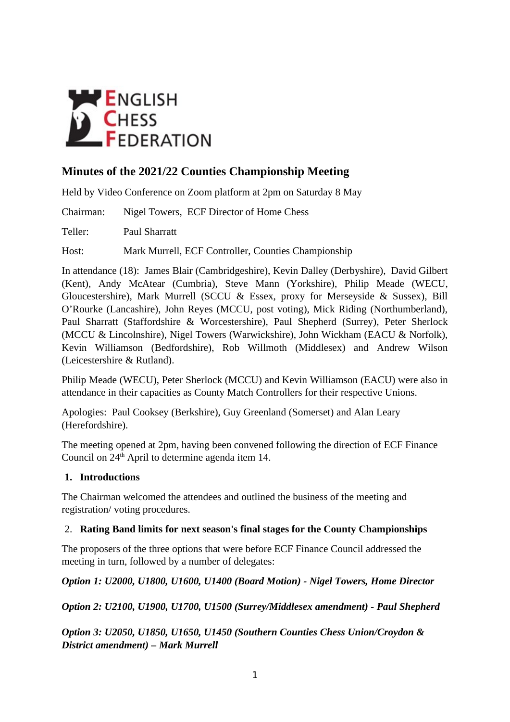

# **Minutes of the 2021/22 Counties Championship Meeting**

Held by Video Conference on Zoom platform at 2pm on Saturday 8 May

Chairman: Nigel Towers, ECF Director of Home Chess

Teller: Paul Sharratt

Host: Mark Murrell, ECF Controller, Counties Championship

In attendance (18): James Blair (Cambridgeshire), Kevin Dalley (Derbyshire), David Gilbert (Kent), Andy McAtear (Cumbria), Steve Mann (Yorkshire), Philip Meade (WECU, Gloucestershire), Mark Murrell (SCCU & Essex, proxy for Merseyside & Sussex), Bill O'Rourke (Lancashire), John Reyes (MCCU, post voting), Mick Riding (Northumberland), Paul Sharratt (Staffordshire & Worcestershire), Paul Shepherd (Surrey), Peter Sherlock (MCCU & Lincolnshire), Nigel Towers (Warwickshire), John Wickham (EACU & Norfolk), Kevin Williamson (Bedfordshire), Rob Willmoth (Middlesex) and Andrew Wilson (Leicestershire & Rutland).

Philip Meade (WECU), Peter Sherlock (MCCU) and Kevin Williamson (EACU) were also in attendance in their capacities as County Match Controllers for their respective Unions.

Apologies: Paul Cooksey (Berkshire), Guy Greenland (Somerset) and Alan Leary (Herefordshire).

The meeting opened at 2pm, having been convened following the direction of ECF Finance Council on 24<sup>th</sup> April to determine agenda item 14.

#### **1. Introductions**

The Chairman welcomed the attendees and outlined the business of the meeting and registration/ voting procedures.

#### 2. **Rating Band limits for next season's final stages for the County Championships**

The proposers of the three options that were before ECF Finance Council addressed the meeting in turn, followed by a number of delegates:

# *Option 1: U2000, U1800, U1600, U1400 (Board Motion) - Nigel Towers, Home Director*

*Option 2: U2100, U1900, U1700, U1500 (Surrey/Middlesex amendment) - Paul Shepherd*

*Option 3: U2050, U1850, U1650, U1450 (Southern Counties Chess Union/Croydon & District amendment) – Mark Murrell*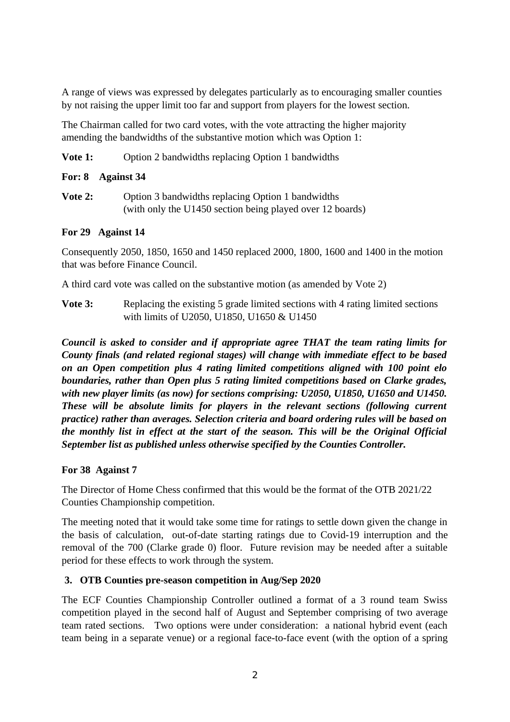A range of views was expressed by delegates particularly as to encouraging smaller counties by not raising the upper limit too far and support from players for the lowest section.

The Chairman called for two card votes, with the vote attracting the higher majority amending the bandwidths of the substantive motion which was Option 1:

#### **Vote 1:** Option 2 bandwidths replacing Option 1 bandwidths

#### **For: 8 Against 34**

**Vote 2:** Option 3 bandwidths replacing Option 1 bandwidths (with only the U1450 section being played over 12 boards)

## **For 29 Against 14**

Consequently 2050, 1850, 1650 and 1450 replaced 2000, 1800, 1600 and 1400 in the motion that was before Finance Council.

A third card vote was called on the substantive motion (as amended by Vote 2)

**Vote 3:** Replacing the existing 5 grade limited sections with 4 rating limited sections with limits of U2050, U1850, U1650 & U1450

*Council is asked to consider and if appropriate agree THAT the team rating limits for County finals (and related regional stages) will change with immediate effect to be based on an Open competition plus 4 rating limited competitions aligned with 100 point elo boundaries, rather than Open plus 5 rating limited competitions based on Clarke grades, with new player limits (as now) for sections comprising: U2050, U1850, U1650 and U1450. These will be absolute limits for players in the relevant sections (following current practice) rather than averages. Selection criteria and board ordering rules will be based on the monthly list in effect at the start of the season. This will be the Original Official September list as published unless otherwise specified by the Counties Controller.*

#### **For 38 Against 7**

The Director of Home Chess confirmed that this would be the format of the OTB 2021/22 Counties Championship competition.

The meeting noted that it would take some time for ratings to settle down given the change in the basis of calculation, out-of-date starting ratings due to Covid-19 interruption and the removal of the 700 (Clarke grade 0) floor. Future revision may be needed after a suitable period for these effects to work through the system.

#### **3. OTB Counties pre-season competition in Aug/Sep 2020**

The ECF Counties Championship Controller outlined a format of a 3 round team Swiss competition played in the second half of August and September comprising of two average team rated sections. Two options were under consideration: a national hybrid event (each team being in a separate venue) or a regional face-to-face event (with the option of a spring